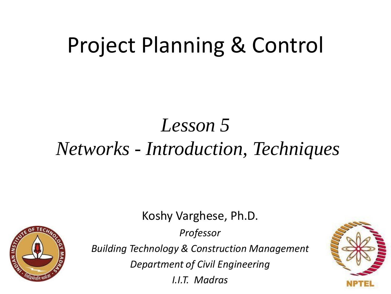# Project Planning & Control

## *Lesson 5 Networks - Introduction, Techniques*

Koshy Varghese, Ph.D.

*Professor*



*Building Technology & Construction Management*

*Department of Civil Engineering*

*I.I.T. Madras*

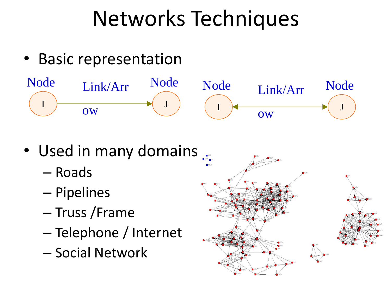# Networks Techniques

• Basic representation



- Used in many domains .
	- Roads
	- Pipelines
	- Truss /Frame
	- Telephone / Internet
	- Social Network

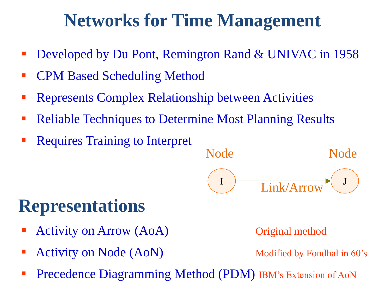### **Networks for Time Management**

- Developed by Du Pont, Remington Rand & UNIVAC in 1958
- **CPM Based Scheduling Method**
- Represents Complex Relationship between Activities
- Reliable Techniques to Determine Most Planning Results
- Requires Training to Interpret



### **Representations**

- **Activity on Arrow (AoA)** Original method
- Activity on Node (AoN) Modified by Fondhal in 60's

Precedence Diagramming Method (PDM) IBM's Extension of AoN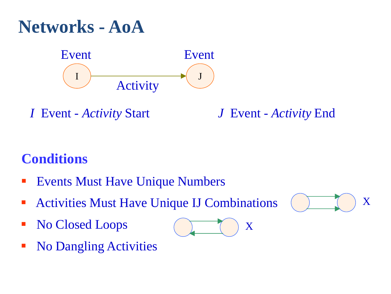### **Networks - AoA**



*I* Event - *Activity* Start *J* Event - *Activity* End

#### **Conditions**

- **Events Must Have Unique Numbers**
- **EXECUTE:** Activities Must Have Unique IJ Combinations
- No Closed Loops
- No Dangling Activities



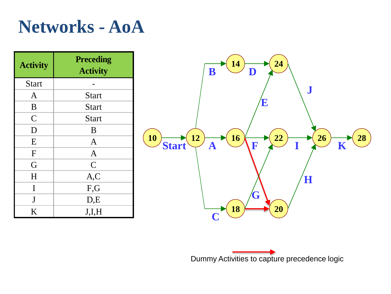### **Networks - AoA**

| <b>Activity</b> | <b>Preceding</b><br><b>Activity</b> |  |  |
|-----------------|-------------------------------------|--|--|
| <b>Start</b>    |                                     |  |  |
| $\mathsf{A}$    | <b>Start</b>                        |  |  |
| B               | <b>Start</b>                        |  |  |
| $\mathcal{C}$   | <b>Start</b>                        |  |  |
| D               | B                                   |  |  |
| E               | $\overline{A}$                      |  |  |
| F               | $\overline{A}$                      |  |  |
| G               | $\mathcal{C}$                       |  |  |
| H               | A, C                                |  |  |
| I               | F,G                                 |  |  |
| J               | D,E                                 |  |  |
| K               | J,I,H                               |  |  |



Dummy Activities to capture precedence logic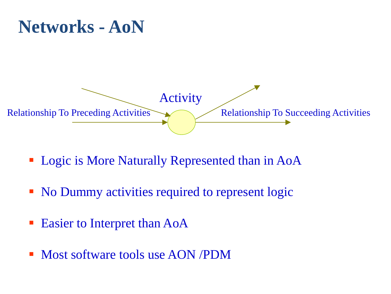#### **Networks - AoN**



- Logic is More Naturally Represented than in AoA
- No Dummy activities required to represent logic
- Easier to Interpret than AoA
- **Most software tools use AON /PDM**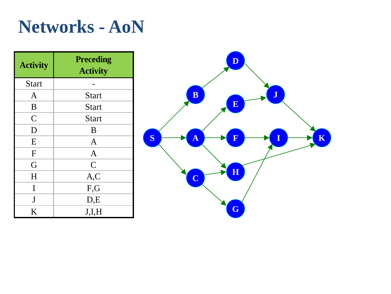#### **Networks - AoN**

| <b>Activity</b> | <b>Preceding</b><br><b>Activity</b> |  |  |
|-----------------|-------------------------------------|--|--|
| <b>Start</b>    |                                     |  |  |
| $\mathbf{A}$    | <b>Start</b>                        |  |  |
| B               | <b>Start</b>                        |  |  |
| $\overline{C}$  | <b>Start</b>                        |  |  |
| D               | B                                   |  |  |
| E               | $\overline{A}$                      |  |  |
| F               | $\overline{A}$                      |  |  |
| G               | $\overline{C}$                      |  |  |
| H               | A, C                                |  |  |
| I               | F,G                                 |  |  |
| J               | D,E                                 |  |  |
| K               | J,I,H                               |  |  |

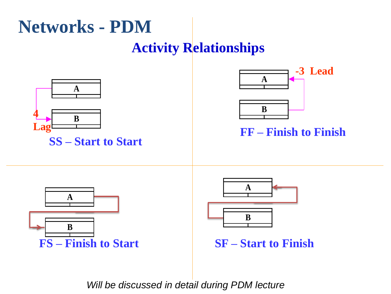## **Networks - PDM**

#### **Activity Relationships**



*Will be discussed in detail during PDM lecture*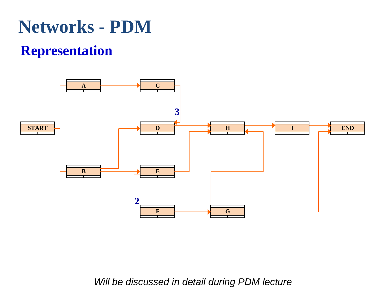### **Networks - PDM**

#### **Representation**



*Will be discussed in detail during PDM lecture*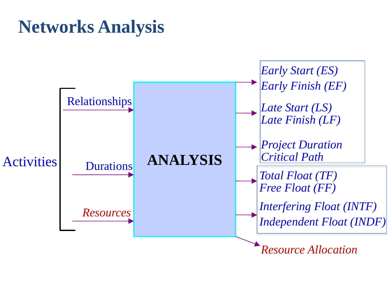#### **Networks Analysis**

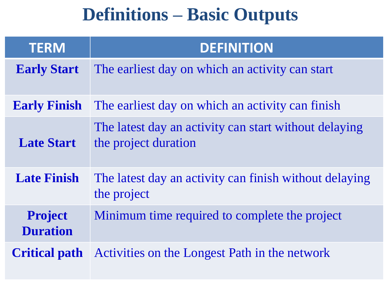### **Definitions – Basic Outputs**

| <b>TERM</b>                       | <b>DEFINITION</b>                                                             |
|-----------------------------------|-------------------------------------------------------------------------------|
| <b>Early Start</b>                | The earliest day on which an activity can start                               |
| <b>Early Finish</b>               | The earliest day on which an activity can finish                              |
| <b>Late Start</b>                 | The latest day an activity can start without delaying<br>the project duration |
| <b>Late Finish</b>                | The latest day an activity can finish without delaying<br>the project         |
| <b>Project</b><br><b>Duration</b> | Minimum time required to complete the project                                 |
|                                   | <b>Critical path</b> Activities on the Longest Path in the network            |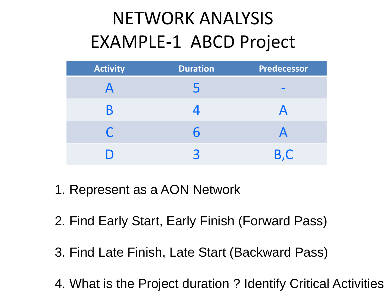## NETWORK ANALYSIS EXAMPLE-1 ABCD Project

| <b>Activity</b> | <b>Duration</b> | Predecessor |  |
|-----------------|-----------------|-------------|--|
|                 |                 |             |  |
| B               |                 |             |  |
| $\bigcap$       | h               |             |  |
|                 |                 | B,C         |  |

- 1. Represent as a AON Network
- 2. Find Early Start, Early Finish (Forward Pass)
- 3. Find Late Finish, Late Start (Backward Pass)
- 4. What is the Project duration ? Identify Critical Activities